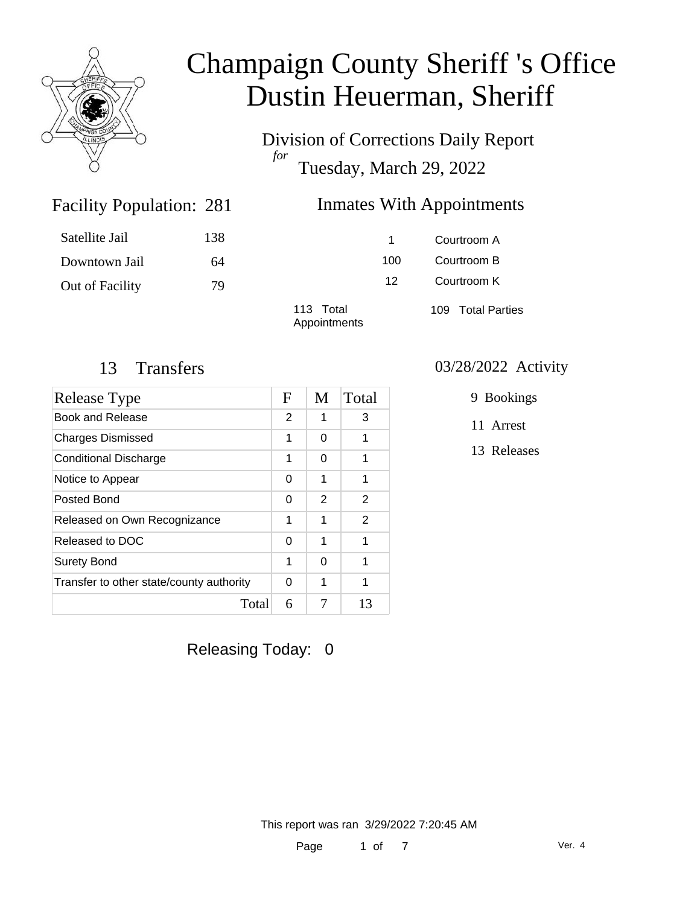

Division of Corrections Daily Report *for* Tuesday, March 29, 2022

### Inmates With Appointments

| Satellite Jail  | 138 |                           | 1.  | Courtroom A       |
|-----------------|-----|---------------------------|-----|-------------------|
| Downtown Jail   | 64  |                           | 100 | Courtroom B       |
| Out of Facility | 79  |                           | 12  | Courtroom K       |
|                 |     | 113 Total<br>Appointments |     | 109 Total Parties |

Facility Population: 281

| Release Type                             |   | M | Total |
|------------------------------------------|---|---|-------|
| Book and Release                         | 2 | 1 | 3     |
| <b>Charges Dismissed</b>                 | 1 | 0 | 1     |
| <b>Conditional Discharge</b>             | 1 | 0 | 1     |
| Notice to Appear                         | 0 | 1 | 1     |
| Posted Bond                              | 0 | 2 | 2     |
| Released on Own Recognizance             | 1 | 1 | 2     |
| Released to DOC                          | 0 | 1 | 1     |
| <b>Surety Bond</b>                       | 1 | 0 | 1     |
| Transfer to other state/county authority | 0 | 1 | 1     |
| Total                                    | 6 | 7 | 13    |

Releasing Today: 0

#### 13 Transfers 03/28/2022 Activity

9 Bookings

11 Arrest

13 Releases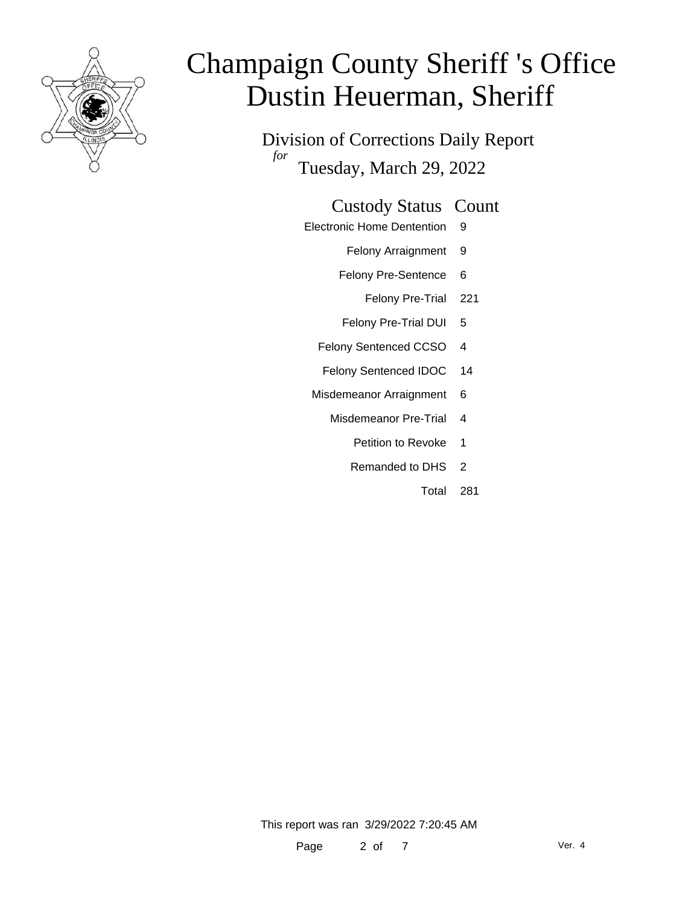

Division of Corrections Daily Report *for* Tuesday, March 29, 2022

### Custody Status Count

- Electronic Home Dentention 9
	- Felony Arraignment 9
	- Felony Pre-Sentence 6
		- Felony Pre-Trial 221
	- Felony Pre-Trial DUI 5
	- Felony Sentenced CCSO 4
	- Felony Sentenced IDOC 14
	- Misdemeanor Arraignment 6
		- Misdemeanor Pre-Trial 4
			- Petition to Revoke 1
			- Remanded to DHS 2
				- Total 281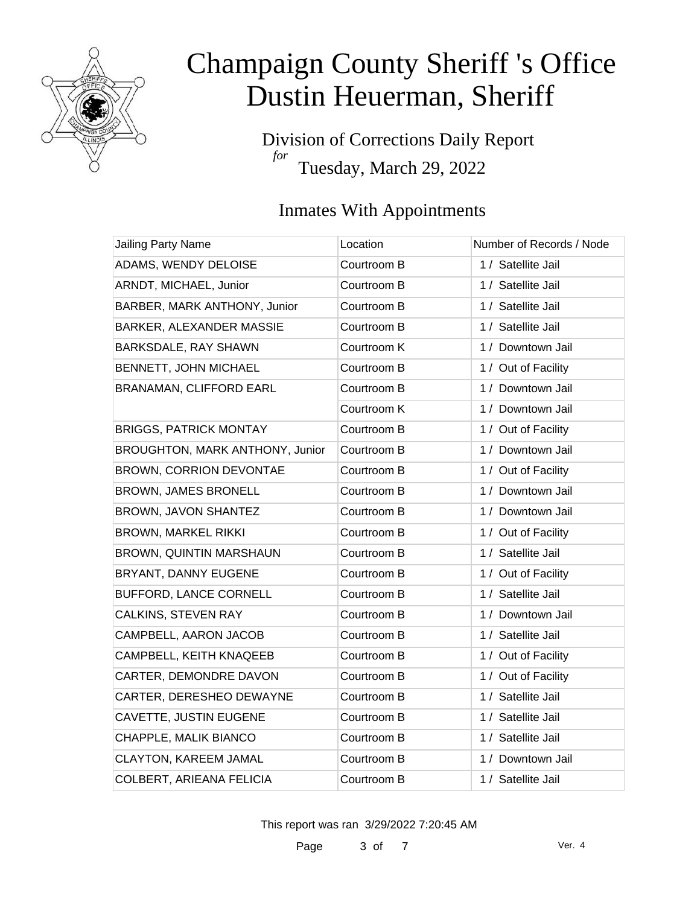

Division of Corrections Daily Report *for* Tuesday, March 29, 2022

### Inmates With Appointments

| Jailing Party Name              | Location    | Number of Records / Node |
|---------------------------------|-------------|--------------------------|
| ADAMS, WENDY DELOISE            | Courtroom B | 1 / Satellite Jail       |
| ARNDT, MICHAEL, Junior          | Courtroom B | 1 / Satellite Jail       |
| BARBER, MARK ANTHONY, Junior    | Courtroom B | 1 / Satellite Jail       |
| BARKER, ALEXANDER MASSIE        | Courtroom B | 1 / Satellite Jail       |
| BARKSDALE, RAY SHAWN            | Courtroom K | 1 / Downtown Jail        |
| BENNETT, JOHN MICHAEL           | Courtroom B | 1 / Out of Facility      |
| <b>BRANAMAN, CLIFFORD EARL</b>  | Courtroom B | 1 / Downtown Jail        |
|                                 | Courtroom K | 1 / Downtown Jail        |
| <b>BRIGGS, PATRICK MONTAY</b>   | Courtroom B | 1 / Out of Facility      |
| BROUGHTON, MARK ANTHONY, Junior | Courtroom B | 1 / Downtown Jail        |
| BROWN, CORRION DEVONTAE         | Courtroom B | 1 / Out of Facility      |
| BROWN, JAMES BRONELL            | Courtroom B | 1 / Downtown Jail        |
| BROWN, JAVON SHANTEZ            | Courtroom B | 1 / Downtown Jail        |
| <b>BROWN, MARKEL RIKKI</b>      | Courtroom B | 1 / Out of Facility      |
| BROWN, QUINTIN MARSHAUN         | Courtroom B | 1 / Satellite Jail       |
| BRYANT, DANNY EUGENE            | Courtroom B | 1 / Out of Facility      |
| BUFFORD, LANCE CORNELL          | Courtroom B | 1 / Satellite Jail       |
| CALKINS, STEVEN RAY             | Courtroom B | 1 / Downtown Jail        |
| CAMPBELL, AARON JACOB           | Courtroom B | 1 / Satellite Jail       |
| CAMPBELL, KEITH KNAQEEB         | Courtroom B | 1 / Out of Facility      |
| CARTER, DEMONDRE DAVON          | Courtroom B | 1 / Out of Facility      |
| CARTER, DERESHEO DEWAYNE        | Courtroom B | 1 / Satellite Jail       |
| CAVETTE, JUSTIN EUGENE          | Courtroom B | 1 / Satellite Jail       |
| CHAPPLE, MALIK BIANCO           | Courtroom B | 1 / Satellite Jail       |
| <b>CLAYTON, KAREEM JAMAL</b>    | Courtroom B | 1 / Downtown Jail        |
| COLBERT, ARIEANA FELICIA        | Courtroom B | 1 / Satellite Jail       |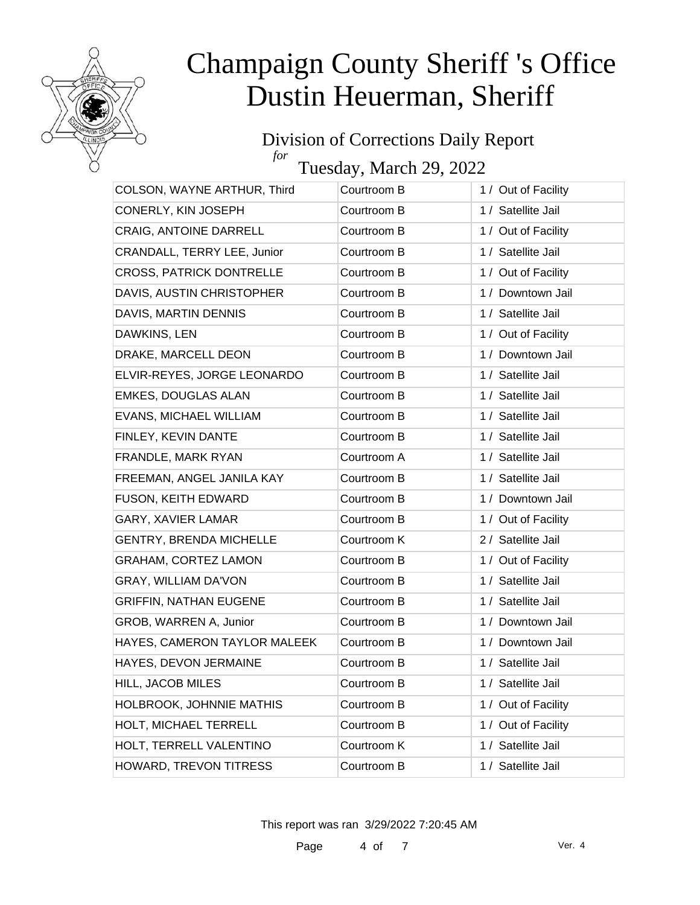

### Division of Corrections Daily Report *for*

Tuesday, March 29, 2022

| COLSON, WAYNE ARTHUR, Third     | Courtroom B | 1 / Out of Facility |
|---------------------------------|-------------|---------------------|
| CONERLY, KIN JOSEPH             | Courtroom B | 1 / Satellite Jail  |
| CRAIG, ANTOINE DARRELL          | Courtroom B | 1 / Out of Facility |
| CRANDALL, TERRY LEE, Junior     | Courtroom B | 1 / Satellite Jail  |
| <b>CROSS, PATRICK DONTRELLE</b> | Courtroom B | 1 / Out of Facility |
| DAVIS, AUSTIN CHRISTOPHER       | Courtroom B | 1 / Downtown Jail   |
| DAVIS, MARTIN DENNIS            | Courtroom B | 1 / Satellite Jail  |
| DAWKINS, LEN                    | Courtroom B | 1 / Out of Facility |
| DRAKE, MARCELL DEON             | Courtroom B | 1 / Downtown Jail   |
| ELVIR-REYES, JORGE LEONARDO     | Courtroom B | 1 / Satellite Jail  |
| <b>EMKES, DOUGLAS ALAN</b>      | Courtroom B | 1 / Satellite Jail  |
| EVANS, MICHAEL WILLIAM          | Courtroom B | 1 / Satellite Jail  |
| FINLEY, KEVIN DANTE             | Courtroom B | 1 / Satellite Jail  |
| FRANDLE, MARK RYAN              | Courtroom A | 1 / Satellite Jail  |
| FREEMAN, ANGEL JANILA KAY       | Courtroom B | 1 / Satellite Jail  |
| FUSON, KEITH EDWARD             | Courtroom B | 1 / Downtown Jail   |
| GARY, XAVIER LAMAR              | Courtroom B | 1 / Out of Facility |
| <b>GENTRY, BRENDA MICHELLE</b>  | Courtroom K | 2 / Satellite Jail  |
| <b>GRAHAM, CORTEZ LAMON</b>     | Courtroom B | 1 / Out of Facility |
| GRAY, WILLIAM DA'VON            | Courtroom B | 1 / Satellite Jail  |
| <b>GRIFFIN, NATHAN EUGENE</b>   | Courtroom B | 1 / Satellite Jail  |
| GROB, WARREN A, Junior          | Courtroom B | 1 / Downtown Jail   |
| HAYES, CAMERON TAYLOR MALEEK    | Courtroom B | 1 / Downtown Jail   |
| HAYES, DEVON JERMAINE           | Courtroom B | 1 / Satellite Jail  |
| HILL, JACOB MILES               | Courtroom B | 1 / Satellite Jail  |
| HOLBROOK, JOHNNIE MATHIS        | Courtroom B | 1 / Out of Facility |
| HOLT, MICHAEL TERRELL           | Courtroom B | 1 / Out of Facility |
| HOLT, TERRELL VALENTINO         | Courtroom K | 1 / Satellite Jail  |
| HOWARD, TREVON TITRESS          | Courtroom B | 1 / Satellite Jail  |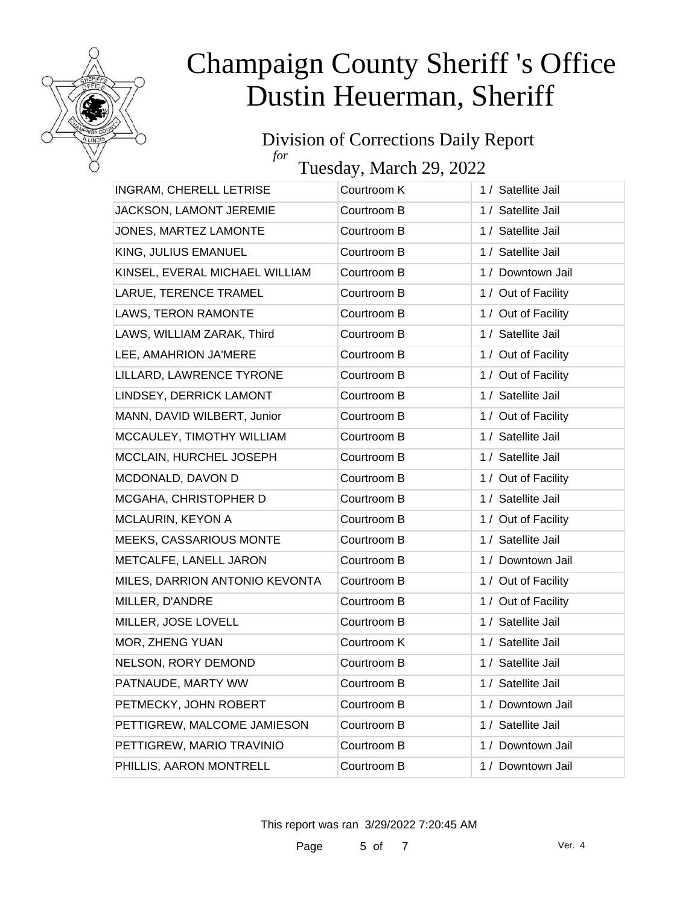

#### Division of Corrections Daily Report *for*

Tuesday, March 29, 2022

| INGRAM, CHERELL LETRISE        | Courtroom K | 1 / Satellite Jail  |
|--------------------------------|-------------|---------------------|
| JACKSON, LAMONT JEREMIE        | Courtroom B | 1 / Satellite Jail  |
| JONES, MARTEZ LAMONTE          | Courtroom B | 1 / Satellite Jail  |
| KING, JULIUS EMANUEL           | Courtroom B | 1 / Satellite Jail  |
| KINSEL, EVERAL MICHAEL WILLIAM | Courtroom B | 1 / Downtown Jail   |
| LARUE, TERENCE TRAMEL          | Courtroom B | 1 / Out of Facility |
| LAWS, TERON RAMONTE            | Courtroom B | 1 / Out of Facility |
| LAWS, WILLIAM ZARAK, Third     | Courtroom B | 1 / Satellite Jail  |
| LEE, AMAHRION JA'MERE          | Courtroom B | 1 / Out of Facility |
| LILLARD, LAWRENCE TYRONE       | Courtroom B | 1 / Out of Facility |
| LINDSEY, DERRICK LAMONT        | Courtroom B | 1 / Satellite Jail  |
| MANN, DAVID WILBERT, Junior    | Courtroom B | 1 / Out of Facility |
| MCCAULEY, TIMOTHY WILLIAM      | Courtroom B | 1 / Satellite Jail  |
| MCCLAIN, HURCHEL JOSEPH        | Courtroom B | 1 / Satellite Jail  |
| MCDONALD, DAVON D              | Courtroom B | 1 / Out of Facility |
| MCGAHA, CHRISTOPHER D          | Courtroom B | 1 / Satellite Jail  |
| MCLAURIN, KEYON A              | Courtroom B | 1 / Out of Facility |
| <b>MEEKS, CASSARIOUS MONTE</b> | Courtroom B | 1 / Satellite Jail  |
| METCALFE, LANELL JARON         | Courtroom B | 1 / Downtown Jail   |
| MILES, DARRION ANTONIO KEVONTA | Courtroom B | 1 / Out of Facility |
| MILLER, D'ANDRE                | Courtroom B | 1 / Out of Facility |
| MILLER, JOSE LOVELL            | Courtroom B | 1 / Satellite Jail  |
| MOR, ZHENG YUAN                | Courtroom K | 1 / Satellite Jail  |
| NELSON, RORY DEMOND            | Courtroom B | 1 / Satellite Jail  |
| PATNAUDE, MARTY WW             | Courtroom B | 1 / Satellite Jail  |
| PETMECKY, JOHN ROBERT          | Courtroom B | 1 / Downtown Jail   |
| PETTIGREW, MALCOME JAMIESON    | Courtroom B | 1 / Satellite Jail  |
| PETTIGREW, MARIO TRAVINIO      | Courtroom B | 1 / Downtown Jail   |
| PHILLIS, AARON MONTRELL        | Courtroom B | 1 / Downtown Jail   |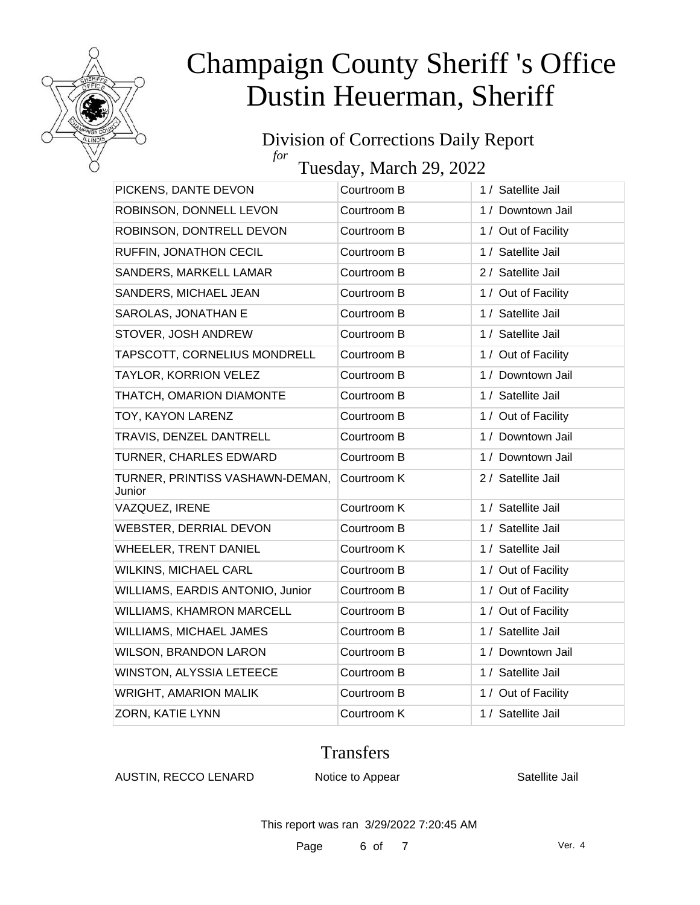

#### Division of Corrections Daily Report *for*

Tuesday, March 29, 2022

| PICKENS, DANTE DEVON                      | Courtroom B | 1 / Satellite Jail  |
|-------------------------------------------|-------------|---------------------|
| ROBINSON, DONNELL LEVON                   | Courtroom B | 1 / Downtown Jail   |
| ROBINSON, DONTRELL DEVON                  | Courtroom B | 1 / Out of Facility |
| RUFFIN, JONATHON CECIL                    | Courtroom B | 1 / Satellite Jail  |
| SANDERS, MARKELL LAMAR                    | Courtroom B | 2 / Satellite Jail  |
| SANDERS, MICHAEL JEAN                     | Courtroom B | 1 / Out of Facility |
| SAROLAS, JONATHAN E                       | Courtroom B | 1 / Satellite Jail  |
| STOVER, JOSH ANDREW                       | Courtroom B | 1 / Satellite Jail  |
| TAPSCOTT, CORNELIUS MONDRELL              | Courtroom B | 1 / Out of Facility |
| TAYLOR, KORRION VELEZ                     | Courtroom B | 1 / Downtown Jail   |
| THATCH, OMARION DIAMONTE                  | Courtroom B | 1 / Satellite Jail  |
| TOY, KAYON LARENZ                         | Courtroom B | 1 / Out of Facility |
| TRAVIS, DENZEL DANTRELL                   | Courtroom B | 1 / Downtown Jail   |
| TURNER, CHARLES EDWARD                    | Courtroom B | 1 / Downtown Jail   |
| TURNER, PRINTISS VASHAWN-DEMAN,<br>Junior | Courtroom K | 2 / Satellite Jail  |
| VAZQUEZ, IRENE                            | Courtroom K | 1 / Satellite Jail  |
| WEBSTER, DERRIAL DEVON                    | Courtroom B | 1 / Satellite Jail  |
| WHEELER, TRENT DANIEL                     | Courtroom K | 1 / Satellite Jail  |
| <b>WILKINS, MICHAEL CARL</b>              | Courtroom B | 1 / Out of Facility |
| WILLIAMS, EARDIS ANTONIO, Junior          | Courtroom B | 1 / Out of Facility |
| <b>WILLIAMS, KHAMRON MARCELL</b>          | Courtroom B | 1 / Out of Facility |
| WILLIAMS, MICHAEL JAMES                   | Courtroom B | 1 / Satellite Jail  |
| <b>WILSON, BRANDON LARON</b>              | Courtroom B | 1 / Downtown Jail   |
| WINSTON, ALYSSIA LETEECE                  | Courtroom B | 1 / Satellite Jail  |
| <b>WRIGHT, AMARION MALIK</b>              | Courtroom B | 1 / Out of Facility |
| ZORN, KATIE LYNN                          | Courtroom K | 1 / Satellite Jail  |

### **Transfers**

AUSTIN, RECCO LENARD Notice to Appear Satellite Jail